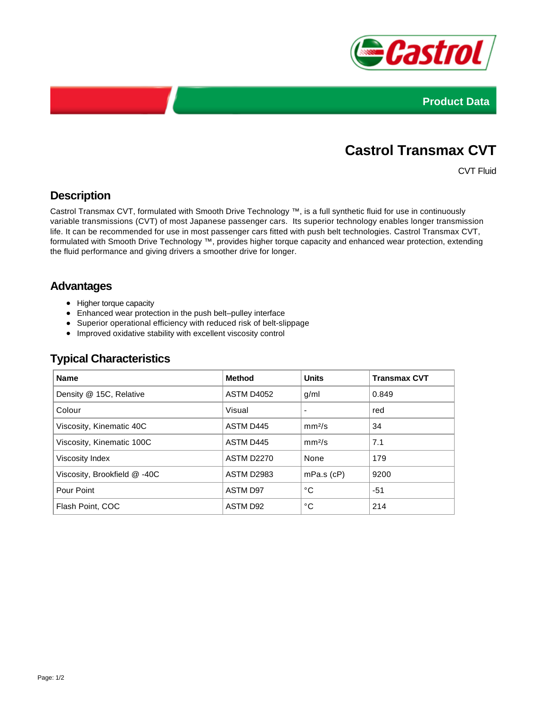



# **Castrol Transmax CVT**

CVT Fluid

# **Description**

Castrol Transmax CVT, formulated with Smooth Drive Technology ™, is a full synthetic fluid for use in continuously variable transmissions (CVT) of most Japanese passenger cars. Its superior technology enables longer transmission life. It can be recommended for use in most passenger cars fitted with push belt technologies. Castrol Transmax CVT, formulated with Smooth Drive Technology ™, provides higher torque capacity and enhanced wear protection, extending the fluid performance and giving drivers a smoother drive for longer.

## **Advantages**

- Higher torque capacity
- Enhanced wear protection in the push belt–pulley interface
- Superior operational efficiency with reduced risk of belt-slippage
- Improved oxidative stability with excellent viscosity control

| <b>Name</b>                  | <b>Method</b>     | <b>Units</b>       | <b>Transmax CVT</b> |
|------------------------------|-------------------|--------------------|---------------------|
| Density @ 15C, Relative      | <b>ASTM D4052</b> | g/ml               | 0.849               |
| Colour                       | Visual            |                    | red                 |
| Viscosity, Kinematic 40C     | ASTM D445         | mm <sup>2</sup> /s | 34                  |
| Viscosity, Kinematic 100C    | ASTM D445         | mm <sup>2</sup> /s | 7.1                 |
| Viscosity Index              | <b>ASTM D2270</b> | None               | 179                 |
| Viscosity, Brookfield @ -40C | ASTM D2983        | $mPa.s$ ( $cP$ )   | 9200                |
| Pour Point                   | <b>ASTM D97</b>   | °C                 | $-51$               |
| Flash Point, COC             | ASTM D92          | °C                 | 214                 |

### **Typical Characteristics**